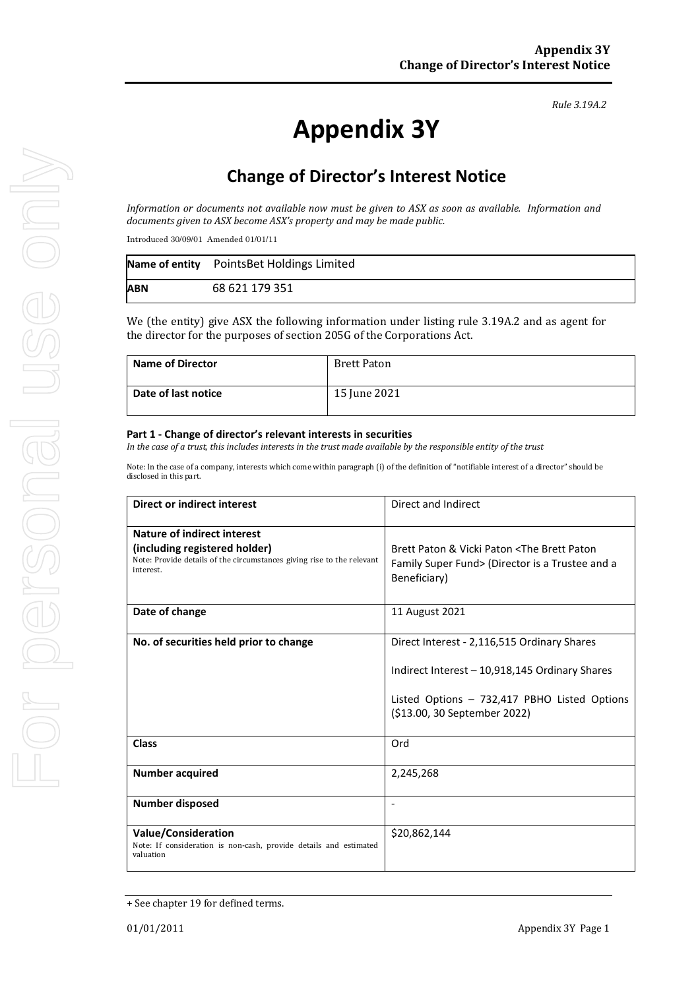# **Appendix 3Y**

# **Change of Director's Interest Notice**

*Information or documents not available now must be given to ASX as soon as available. Information and documents given to ASX become ASX's property and may be made public.*

Introduced 30/09/01 Amended 01/01/11

|            | Name of entity PointsBet Holdings Limited |
|------------|-------------------------------------------|
| <b>ABN</b> | 68 621 179 351                            |

We (the entity) give ASX the following information under listing rule 3.19A.2 and as agent for the director for the purposes of section 205G of the Corporations Act.

| <b>Name of Director</b> | Brett Paton  |
|-------------------------|--------------|
| Date of last notice     | 15 June 2021 |

#### **Part 1 - Change of director's relevant interests in securities**

*In the case of a trust, this includes interests in the trust made available by the responsible entity of the trust*

Note: In the case of a company, interests which come within paragraph (i) of the definition of "notifiable interest of a director" should be disclosed in this part.

| Direct or indirect interest                                                                                                                         | Direct and Indirect                                                                                                                                                           |  |
|-----------------------------------------------------------------------------------------------------------------------------------------------------|-------------------------------------------------------------------------------------------------------------------------------------------------------------------------------|--|
| Nature of indirect interest<br>(including registered holder)<br>Note: Provide details of the circumstances giving rise to the relevant<br>interest. | Brett Paton & Vicki Paton <the brett="" paton<br="">Family Super Fund&gt; (Director is a Trustee and a<br/>Beneficiary)</the>                                                 |  |
| Date of change                                                                                                                                      | 11 August 2021                                                                                                                                                                |  |
| No. of securities held prior to change                                                                                                              | Direct Interest - 2,116,515 Ordinary Shares<br>Indirect Interest - 10,918,145 Ordinary Shares<br>Listed Options - 732,417 PBHO Listed Options<br>(\$13.00, 30 September 2022) |  |
| <b>Class</b>                                                                                                                                        | Ord                                                                                                                                                                           |  |
| <b>Number acquired</b>                                                                                                                              | 2,245,268                                                                                                                                                                     |  |
| <b>Number disposed</b>                                                                                                                              |                                                                                                                                                                               |  |
| <b>Value/Consideration</b><br>Note: If consideration is non-cash, provide details and estimated<br>valuation                                        | \$20,862,144                                                                                                                                                                  |  |

<sup>+</sup> See chapter 19 for defined terms.

*Rule 3.19A.2*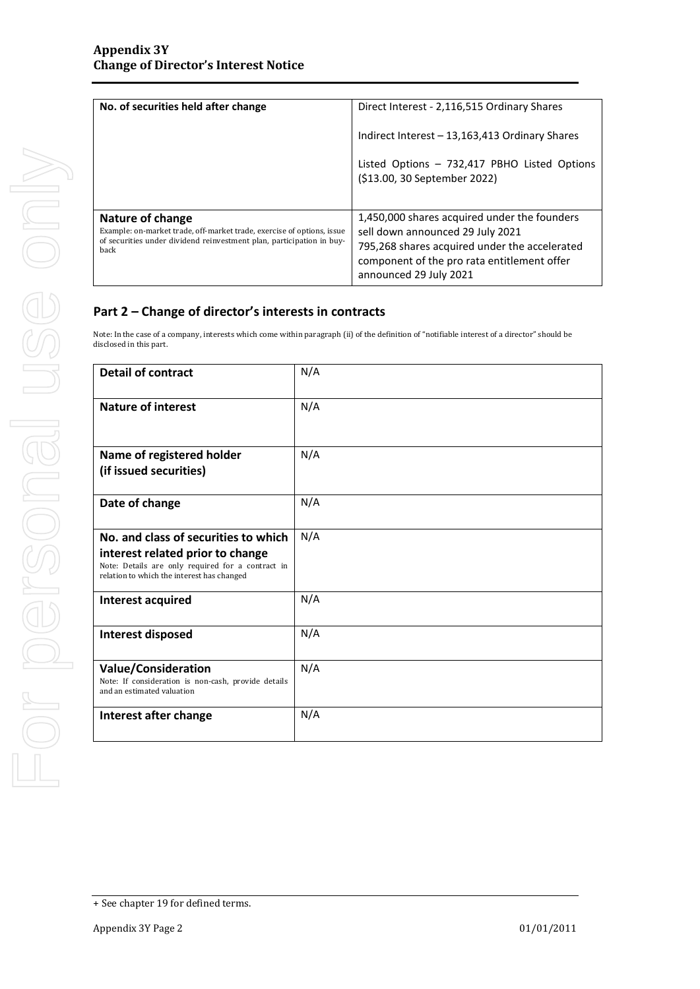| No. of securities held after change                                                                                                                                         | Direct Interest - 2,116,515 Ordinary Shares                                                                                                                                                                |  |
|-----------------------------------------------------------------------------------------------------------------------------------------------------------------------------|------------------------------------------------------------------------------------------------------------------------------------------------------------------------------------------------------------|--|
|                                                                                                                                                                             | Indirect Interest - 13,163,413 Ordinary Shares                                                                                                                                                             |  |
|                                                                                                                                                                             | Listed Options - 732,417 PBHO Listed Options<br>(\$13.00, 30 September 2022)                                                                                                                               |  |
| Nature of change<br>Example: on-market trade, off-market trade, exercise of options, issue<br>of securities under dividend reinvestment plan, participation in buy-<br>back | 1,450,000 shares acquired under the founders<br>sell down announced 29 July 2021<br>795,268 shares acquired under the accelerated<br>component of the pro rata entitlement offer<br>announced 29 July 2021 |  |

## **Part 2 – Change of director's interests in contracts**

Note: In the case of a company, interests which come within paragraph (ii) of the definition of "notifiable interest of a director" should be disclosed in this part.

| <b>Detail of contract</b>                                                                                                                                                   | N/A |
|-----------------------------------------------------------------------------------------------------------------------------------------------------------------------------|-----|
| <b>Nature of interest</b>                                                                                                                                                   | N/A |
| Name of registered holder<br>(if issued securities)                                                                                                                         | N/A |
| Date of change                                                                                                                                                              | N/A |
| No. and class of securities to which<br>interest related prior to change<br>Note: Details are only required for a contract in<br>relation to which the interest has changed | N/A |
| Interest acquired                                                                                                                                                           | N/A |
| Interest disposed                                                                                                                                                           | N/A |
| <b>Value/Consideration</b><br>Note: If consideration is non-cash, provide details<br>and an estimated valuation                                                             | N/A |
| Interest after change                                                                                                                                                       | N/A |

<sup>+</sup> See chapter 19 for defined terms.